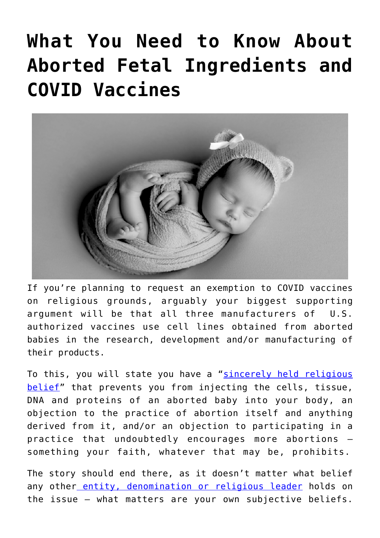# **[What You Need to Know About](https://thevaultproject.org/aborted-fetal-ingredients-covid-vaccines/) [Aborted Fetal Ingredients and](https://thevaultproject.org/aborted-fetal-ingredients-covid-vaccines/) [COVID Vaccines](https://thevaultproject.org/aborted-fetal-ingredients-covid-vaccines/)**



If you're planning to request an exemption to COVID vaccines on religious grounds, arguably your biggest supporting argument will be that all three manufacturers of U.S. authorized vaccines use cell lines obtained from aborted babies in the research, development and/or manufacturing of their products.

To this, you will state you have a "[sincerely held religious](https://thevaultproject.org/covid-vaccine-religious-exemption-employment/) [belief](https://thevaultproject.org/covid-vaccine-religious-exemption-employment/)" that prevents you from injecting the cells, tissue, DNA and proteins of an aborted baby into your body, an objection to the practice of abortion itself and anything derived from it, and/or an objection to participating in a practice that undoubtedly encourages more abortions something your faith, whatever that may be, prohibits.

The story should end there, as it doesn't matter what belief any other [entity, denomination or religious leader](https://thevaultproject.org/covid-vaccine-religious-exemption-employment/) holds on the issue — what matters are your own subjective beliefs.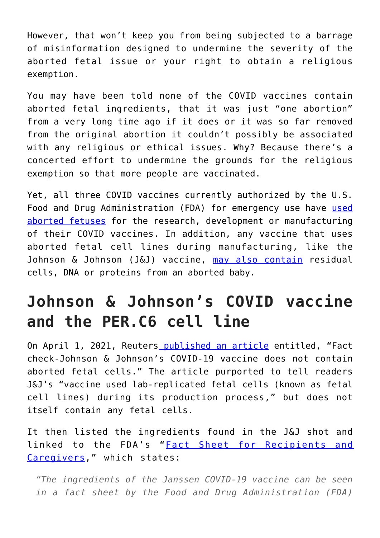However, that won't keep you from being subjected to a barrage of misinformation designed to undermine the severity of the aborted fetal issue or your right to obtain a religious exemption.

You may have been told none of the COVID vaccines contain aborted fetal ingredients, that it was just "one abortion" from a very long time ago if it does or it was so far removed from the original abortion it couldn't possibly be associated with any religious or ethical issues. Why? Because there's a concerted effort to undermine the grounds for the religious exemption so that more people are vaccinated.

Yet, all three COVID vaccines currently authorized by the U.S. Food and Drug Administration (FDA) for emergency use have [used](https://ldh.la.gov/assets/oph/Center-PHCH/Center-PH/immunizations/You_Have_Qs_COVID-19_Vaccine_FAQ.pdf) [aborted fetuses](https://ldh.la.gov/assets/oph/Center-PHCH/Center-PH/immunizations/You_Have_Qs_COVID-19_Vaccine_FAQ.pdf) for the research, development or manufacturing of their COVID vaccines. In addition, any vaccine that uses aborted fetal cell lines during manufacturing, like the Johnson & Johnson (J&J) vaccine, [may also contain](https://www.fda.gov/media/146304/download) residual cells, DNA or proteins from an aborted baby.

## **Johnson & Johnson's COVID vaccine and the PER.C6 cell line**

On April 1, 2021, Reuter[s published an article](https://www.reuters.com/article/factcheck-johnson-aborted/fact-check-johnson-johnsons-covid-19-vaccine-does-not-contain-aborted-fetal-cells-idUSL1N2LU1T9) entitled, "Fact check-Johnson & Johnson's COVID-19 vaccine does not contain aborted fetal cells." The article purported to tell readers J&J's "vaccine used lab-replicated fetal cells (known as fetal cell lines) during its production process," but does not itself contain any fetal cells.

It then listed the ingredients found in the J&J shot and linked to the FDA's "[Fact Sheet for Recipients and](https://www.fda.gov/media/146305/download) [Caregivers,](https://www.fda.gov/media/146305/download)" which states:

*"The ingredients of the Janssen COVID-19 vaccine can be seen in a fact sheet by the Food and Drug Administration (FDA)*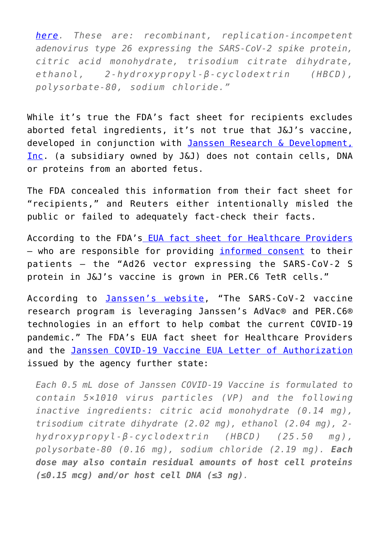*[here.](https://www.fda.gov/media/146305/download) These are: recombinant, replication-incompetent adenovirus type 26 expressing the SARS-CoV-2 spike protein, citric acid monohydrate, trisodium citrate dihydrate, ethanol, 2-hydroxypropyl-β-cyclodextrin (HBCD), polysorbate-80, sodium chloride."*

While it's true the FDA's fact sheet for recipients excludes aborted fetal ingredients, it's not true that J&J's vaccine, developed in conjunction with [Janssen Research & Development,](https://www.janssen.com/emea/emea/janssen-vaccine-technologies) [Inc.](https://www.janssen.com/emea/emea/janssen-vaccine-technologies) (a subsidiary owned by J&J) does not contain cells, DNA or proteins from an aborted fetus.

The FDA concealed this information from their fact sheet for "recipients," and Reuters either intentionally misled the public or failed to adequately fact-check their facts.

According to the FDA's [EUA fact sheet for Healthcare Providers](https://www.fda.gov/media/146304/download) - who are responsible for providing *[informed consent](https://www.ncbi.nlm.nih.gov/books/NBK430827/)* to their patients — the "Ad26 vector expressing the SARS-CoV-2 S protein in J&J's vaccine is grown in PER.C6 TetR cells."

According to [Janssen's website](https://www.janssen.com/emea/emea/janssen-vaccine-technologies), "The SARS-CoV-2 vaccine research program is leveraging Janssen's AdVac® and PER.C6® technologies in an effort to help combat the current COVID-19 pandemic." The FDA's EUA fact sheet for Healthcare Providers and the [Janssen COVID-19 Vaccine EUA Letter of Authorization](https://www.janssenlabels.com/emergency-use-authorization/Janssen%20COVID-19%20Vaccine-EUA.pdf) issued by the agency further state:

*Each 0.5 mL dose of Janssen COVID-19 Vaccine is formulated to contain 5×1010 virus particles (VP) and the following inactive ingredients: citric acid monohydrate (0.14 mg), trisodium citrate dihydrate (2.02 mg), ethanol (2.04 mg), 2 hydroxypropyl-β-cyclodextrin (HBCD) (25.50 mg), polysorbate-80 (0.16 mg), sodium chloride (2.19 mg). Each dose may also contain residual amounts of host cell proteins (≤0.15 mcg) and/or host cell DNA (≤3 ng).*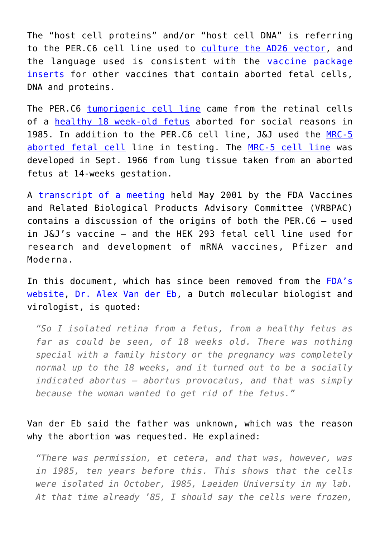The "host cell proteins" and/or "host cell DNA" is referring to the PER.C6 cell line used to [culture the AD26 vector](https://www.nature.com/articles/s41541-020-00243-x), and the language used is consistent with the [vaccine package](https://www.immunize.org/fda/) [inserts](https://www.immunize.org/fda/) for other vaccines that contain aborted fetal cells, DNA and proteins.

The PER.C6 [tumorigenic cell line](https://www.fda.gov/vaccines-blood-biologics/biologics-research-projects/investigating-viruses-cells-used-make-vaccines-and-evaluating-potential-threat-posed-transmission) came from the retinal cells of a [healthy 18 week-old fetus](https://www.gmp-creativebiolabs.com/per-c6-cell-lines_74.htm) aborted for social reasons in 1985. In addition to the PER.C6 cell line, J&J used the [MRC-5](https://www.nature.com/articles/s41586-020-2607-z) [aborted fetal cell](https://www.nature.com/articles/s41586-020-2607-z) line in testing. The [MRC-5 cell line](https://www.coriell.org/0/Sections/Search/Sample_Detail.aspx?Ref=AG05965-C) was developed in Sept. 1966 from lung tissue taken from an aborted fetus at 14-weeks gestation.

A [transcript of a meeting](https://thevaultproject.org/wp-content/uploads/2021/10/FDA-VRBPAC-Transcrip-5162001.pdf) held May 2001 by the FDA Vaccines and Related Biological Products Advisory Committee (VRBPAC) contains a discussion of the origins of both the PER.C6 — used in J&J's vaccine — and the HEK 293 fetal cell line used for research and development of mRNA vaccines, Pfizer and Moderna.

In this document, which has since been removed from the [FDA's](https://www.fda.gov/ohrms/dockets/ac/01/transcripts/3750t1_01.pdf) [website,](https://www.fda.gov/ohrms/dockets/ac/01/transcripts/3750t1_01.pdf) [Dr. Alex Van der Eb,](https://prabook.com/web/alex_jan_van_der.eb/610816) a Dutch molecular biologist and virologist, is quoted:

*"So I isolated retina from a fetus, from a healthy fetus as far as could be seen, of 18 weeks old. There was nothing special with a family history or the pregnancy was completely normal up to the 18 weeks, and it turned out to be a socially indicated abortus — abortus provocatus, and that was simply because the woman wanted to get rid of the fetus."*

Van der Eb said the father was unknown, which was the reason why the abortion was requested. He explained:

*"There was permission, et cetera, and that was, however, was in 1985, ten years before this. This shows that the cells were isolated in October, 1985, Laeiden University in my lab. At that time already '85, I should say the cells were frozen,*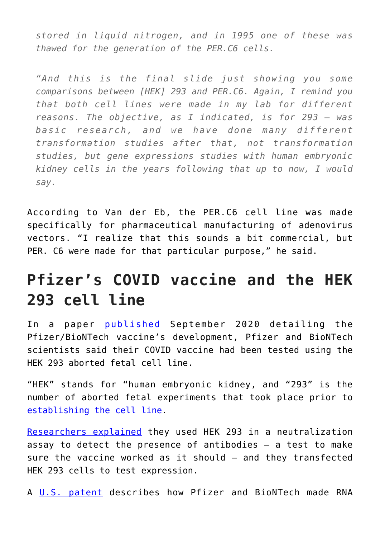*stored in liquid nitrogen, and in 1995 one of these was thawed for the generation of the PER.C6 cells.*

*"And this is the final slide just showing you some comparisons between [HEK] 293 and PER.C6. Again, I remind you that both cell lines were made in my lab for different reasons. The objective, as I indicated, is for 293 — was basic research, and we have done many different transformation studies after that, not transformation studies, but gene expressions studies with human embryonic kidney cells in the years following that up to now, I would say.*

According to Van der Eb, the PER.C6 cell line was made specifically for pharmaceutical manufacturing of adenovirus vectors. "I realize that this sounds a bit commercial, but PER. C6 were made for that particular purpose," he said.

### **Pfizer's COVID vaccine and the HEK 293 cell line**

In a paper [published](https://www.biorxiv.org/content/10.1101/2020.09.08.280818v1.full) September 2020 detailing the Pfizer/BioNTech vaccine's development, Pfizer and BioNTech scientists said their COVID vaccine had been tested using the HEK 293 aborted fetal cell line.

"HEK" stands for "human embryonic kidney, and "293" is the number of aborted fetal experiments that took place prior to [establishing the cell line.](https://cogforlife.org/per-c6-hek-293/)

[Researchers explained](https://www.biorxiv.org/content/10.1101/2020.09.08.280818v1.full.pdf) they used HEK 293 in a neutralization assay to detect the presence of antibodies  $-$  a test to make sure the vaccine worked as it should — and they transfected HEK 293 cells to test expression.

A [U.S. patent](http://patft.uspto.gov/netacgi/nph-Parser?Sect1=PTO1&Sect2=HITOFF&d=PALL&p=1&u=%2Fnetahtml%2FPTO%2Fsrchnum.htm&r=1&f=G&l=50&s1=10,669,322.PN.&OS=PN/10,669,322&RS=PN/10,669,322) describes how Pfizer and BioNTech made RNA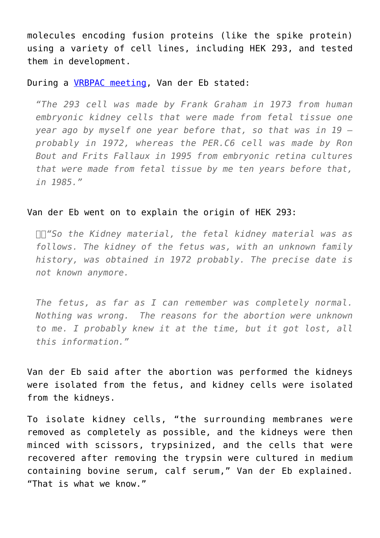molecules encoding fusion proteins (like the spike protein) using a variety of cell lines, including HEK 293, and tested them in development.

### During a **VRBPAC** meeting, Van der Eb stated:

*"The 293 cell was made by Frank Graham in 1973 from human embryonic kidney cells that were made from fetal tissue one year ago by myself one year before that, so that was in 19 probably in 1972, whereas the PER.C6 cell was made by Ron Bout and Frits Fallaux in 1995 from embryonic retina cultures that were made from fetal tissue by me ten years before that, in 1985."*

#### Van der Eb went on to explain the origin of HEK 293:

*"So the Kidney material, the fetal kidney material was as follows. The kidney of the fetus was, with an unknown family history, was obtained in 1972 probably. The precise date is not known anymore.*

*The fetus, as far as I can remember was completely normal. Nothing was wrong. The reasons for the abortion were unknown to me. I probably knew it at the time, but it got lost, all this information."*

Van der Eb said after the abortion was performed the kidneys were isolated from the fetus, and kidney cells were isolated from the kidneys.

To isolate kidney cells, "the surrounding membranes were removed as completely as possible, and the kidneys were then minced with scissors, trypsinized, and the cells that were recovered after removing the trypsin were cultured in medium containing bovine serum, calf serum," Van der Eb explained. "That is what we know."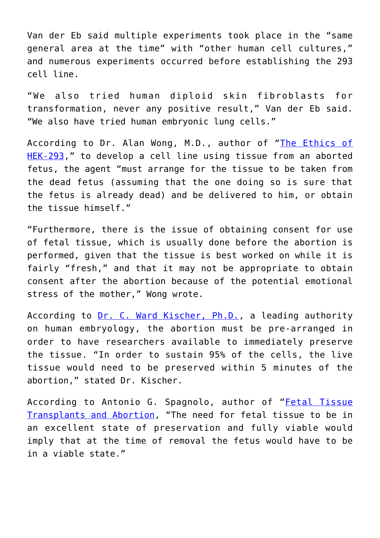Van der Eb said multiple experiments took place in the "same general area at the time" with "other human cell cultures," and numerous experiments occurred before establishing the 293 cell line.

"We also tried human diploid skin fibroblasts for transformation, never any positive result," Van der Eb said. "We also have tried human embryonic lung cells."

According to Dr. Alan Wong, M.D., author of "[The Ethics of](https://www.pdcnet.org/C1257D43006C9AB1/file/5265B61D5497F52585257D94004802BB/$FILE/ncbq_2006_0006_0003_0077_0099.pdf) [HEK-293,](https://www.pdcnet.org/C1257D43006C9AB1/file/5265B61D5497F52585257D94004802BB/$FILE/ncbq_2006_0006_0003_0077_0099.pdf)" to develop a cell line using tissue from an aborted fetus, the agent "must arrange for the tissue to be taken from the dead fetus (assuming that the one doing so is sure that the fetus is already dead) and be delivered to him, or obtain the tissue himself."

"Furthermore, there is the issue of obtaining consent for use of fetal tissue, which is usually done before the abortion is performed, given that the tissue is best worked on while it is fairly "fresh," and that it may not be appropriate to obtain consent after the abortion because of the potential emotional stress of the mother," Wong wrote.

According to [Dr. C. Ward Kischer, Ph.D.](https://www.pdcnet.org/C1257D43006C9AB1/file/5265B61D5497F52585257D94004802BB/$FILE/ncbq_2006_0006_0003_0077_0099.pdf), a leading authority on human embryology, the abortion must be pre-arranged in order to have researchers available to immediately preserve the tissue. "In order to sustain 95% of the cells, the live tissue would need to be preserved within 5 minutes of the abortion," stated Dr. Kischer.

According to Antonio G. Spagnolo, author of "[Fetal Tissue](https://www.ewtn.com/catholicism/library/fetal-tissue-transplants-and-abortion-12188) [Transplants and Abortion,](https://www.ewtn.com/catholicism/library/fetal-tissue-transplants-and-abortion-12188) "The need for fetal tissue to be in an excellent state of preservation and fully viable would imply that at the time of removal the fetus would have to be in a viable state."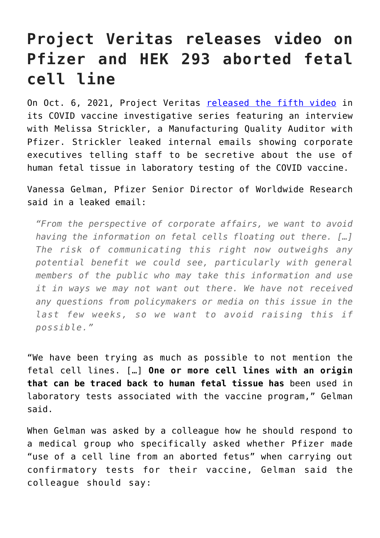## **Project Veritas releases video on Pfizer and HEK 293 aborted fetal cell line**

On Oct. 6, 2021, Project Veritas [released the fifth video](https://www.projectveritas.com/news/pfizer-leaks-whistleblower-goes-on-record-reveals-internal-emails-from-chief/) in its COVID vaccine investigative series featuring an interview with Melissa Strickler, a Manufacturing Quality Auditor with Pfizer. Strickler leaked internal emails showing corporate executives telling staff to be secretive about the use of human fetal tissue in laboratory testing of the COVID vaccine.

Vanessa Gelman, Pfizer Senior Director of Worldwide Research said in a leaked email:

*"From the perspective of corporate affairs, we want to avoid having the information on fetal cells floating out there. […] The risk of communicating this right now outweighs any potential benefit we could see, particularly with general members of the public who may take this information and use it in ways we may not want out there. We have not received any questions from policymakers or media on this issue in the last few weeks, so we want to avoid raising this if possible."*

"We have been trying as much as possible to not mention the fetal cell lines. […] **One or more cell lines with an origin that can be traced back to human fetal tissue has** been used in laboratory tests associated with the vaccine program," Gelman said.

When Gelman was asked by a colleague how he should respond to a medical group who specifically asked whether Pfizer made "use of a cell line from an aborted fetus" when carrying out confirmatory tests for their vaccine, Gelman said the colleague should say: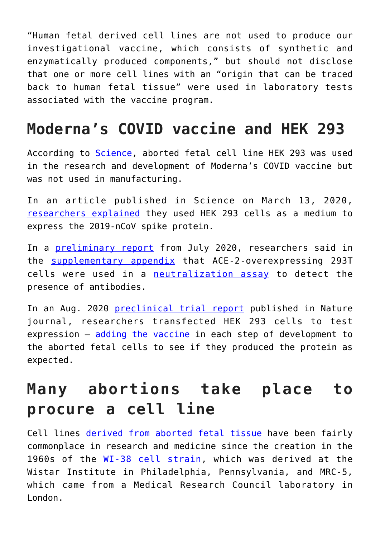"Human fetal derived cell lines are not used to produce our investigational vaccine, which consists of synthetic and enzymatically produced components," but should not disclose that one or more cell lines with an "origin that can be traced back to human fetal tissue" were used in laboratory tests associated with the vaccine program.

### **Moderna's COVID vaccine and HEK 293**

According to [Science,](https://www.science.org/content/article/abortion-opponents-protest-covid-19-vaccines-use-fetal-cells) aborted fetal cell line HEK 293 was used in the research and development of Moderna's COVID vaccine but was not used in manufacturing.

In an article published in Science on March 13, 2020, [researchers explained](https://science.sciencemag.org/content/367/6483/1260.full) they used HEK 293 cells as a medium to express the 2019-nCoV spike protein.

In a [preliminary report](https://www.nejm.org/doi/full/10.1056/NEJMoa2022483) from July 2020, researchers said in the [supplementary appendix](https://www.nejm.org/doi/suppl/10.1056/NEJMoa2022483/suppl_file/nejmoa2022483_appendix.pdf) that ACE-2-overexpressing 293T cells were used in a [neutralization assay](https://www.sciencedirect.com/topics/medicine-and-dentistry/virus-neutralization) to detect the presence of antibodies.

In an Aug. 2020 [preclinical trial report](https://www.nature.com/articles/s41586-020-2622-0) published in Nature journal, researchers transfected HEK 293 cells to test expression — [adding the vaccine](https://cogforlife.org/guidance/) in each step of development to the aborted fetal cells to see if they produced the protein as expected.

### **Many abortions take place to procure a cell line**

Cell lines [derived from aborted fetal tissue](https://www.scientificamerican.com/article/the-truth-about-fetal-tissue-research/) have been fairly commonplace in research and medicine since the creation in the 1960s of the [WI-38 cell strain,](https://www.nature.com/news/medical-research-cell-division-1.13273) which was derived at the Wistar Institute in Philadelphia, Pennsylvania, and MRC-5, which came from a Medical Research Council laboratory in London.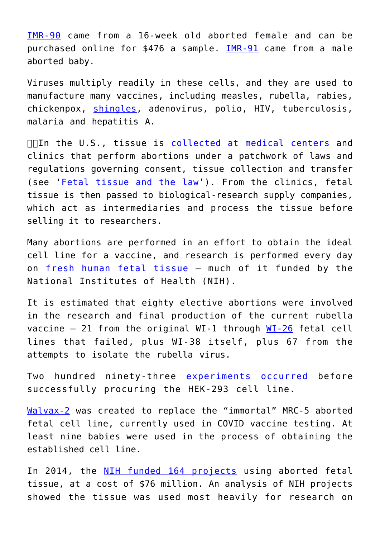[IMR-90](https://web.archive.org/web/20200316224839/http://www.atcc.org/products/all/CCL-186.aspx) came from a 16-week old aborted female and can be purchased online for \$476 a sample. [IMR-91](https://web.archive.org/web/20200316224839/https://grants.nih.gov/grants/guide/notice-files/not93-196.html) came from a male aborted baby.

Viruses multiply readily in these cells, and they are used to manufacture many vaccines, including measles, rubella, rabies, chickenpox, [shingles](https://web.archive.org/web/20200316224839/http://www.cdc.gov/vaccines/pubs/pinkbook/downloads/appendices/B/excipient-table-2.pdf), adenovirus, polio, HIV, tuberculosis, malaria and hepatitis A.

 $\Box\Box$ In the U.S., tissue is [collected at medical centers](https://www.scientificamerican.com/article/the-truth-about-fetal-tissue-research/) and clinics that perform abortions under a patchwork of laws and regulations governing consent, tissue collection and transfer (see '[Fetal tissue and the law'](https://www.nature.com/news/the-truth-about-fetal-tissue-research-1.18960#box)). From the clinics, fetal tissue is then passed to biological-research supply companies, which act as intermediaries and process the tissue before selling it to researchers.

Many abortions are performed in an effort to obtain the ideal cell line for a vaccine, and research is performed every day on [fresh human fetal tissue](https://www.scientificamerican.com/article/the-truth-about-fetal-tissue-research/) — much of it funded by the National Institutes of Health (NIH).

It is estimated that eighty elective abortions were involved in the research and final production of the current rubella vaccine  $-21$  from the original WI-1 through [WI-26](https://web.archive.org/web/20200316224839/http://info-centre.jenage.de/assets/pdfs/library/hayflick_EXP_CELL_RES_1965.pdf) fetal cell lines that failed, plus WI-38 itself, plus 67 from the attempts to isolate the rubella virus.

Two hundred ninety-three [experiments occurred](https://www.news-medical.net/life-sciences/HEK293-Cells-Applications-and-Advantages.aspx) before successfully procuring the HEK-293 cell line.

[Walvax-2](https://web.archive.org/web/20200316224839/https://www.ncbi.nlm.nih.gov/pubmed/25803132/) was created to replace the "immortal" MRC-5 aborted fetal cell line, currently used in COVID vaccine testing. At least nine babies were used in the process of obtaining the established cell line.

In 2014, the [NIH funded 164 projects](https://www.nature.com/articles/528178a#graphic) using aborted fetal tissue, at a cost of \$76 million. An analysis of NIH projects showed the tissue was used most heavily for research on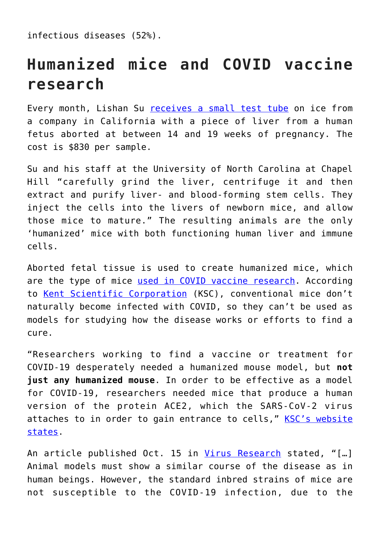infectious diseases (52%).

## **Humanized mice and COVID vaccine research**

Every month, Lishan Su [receives a small test tube](https://www.scientificamerican.com/article/the-truth-about-fetal-tissue-research/) on ice from a company in California with a piece of liver from a human fetus aborted at between 14 and 19 weeks of pregnancy. The cost is \$830 per sample.

Su and his staff at the University of North Carolina at Chapel Hill "carefully grind the liver, centrifuge it and then extract and purify liver- and blood-forming stem cells. They inject the cells into the livers of newborn mice, and allow those mice to mature." The resulting animals are the only 'humanized' mice with both functioning human liver and immune cells.

Aborted fetal tissue is used to create humanized mice, which are the type of mice [used in COVID vaccine research](https://fbresearch.org/pfizer-covid-vaccine/). According to [Kent Scientific Corporation](https://www.kentscientific.com/blog/how-humanized-mice-are-helping-the-fight-against-covid-19-and-other-diseases/) (KSC), conventional mice don't naturally become infected with COVID, so they can't be used as models for studying how the disease works or efforts to find a cure.

"Researchers working to find a vaccine or treatment for COVID-19 desperately needed a humanized mouse model, but **not just any humanized mouse**. In order to be effective as a model for COVID-19, researchers needed mice that produce a human version of the protein ACE2, which the SARS-CoV-2 virus attaches to in order to gain entrance to cells," [KSC's website](https://www.kentscientific.com/blog/how-humanized-mice-are-helping-the-fight-against-covid-19-and-other-diseases/) [states](https://www.kentscientific.com/blog/how-humanized-mice-are-helping-the-fight-against-covid-19-and-other-diseases/).

An article published Oct. 15 in [Virus Research](https://www.ncbi.nlm.nih.gov/labs/pmc/articles/PMC7423510/) stated, "[...] Animal models must show a similar course of the disease as in human beings. However, the standard inbred strains of mice are not susceptible to the COVID-19 infection, due to the